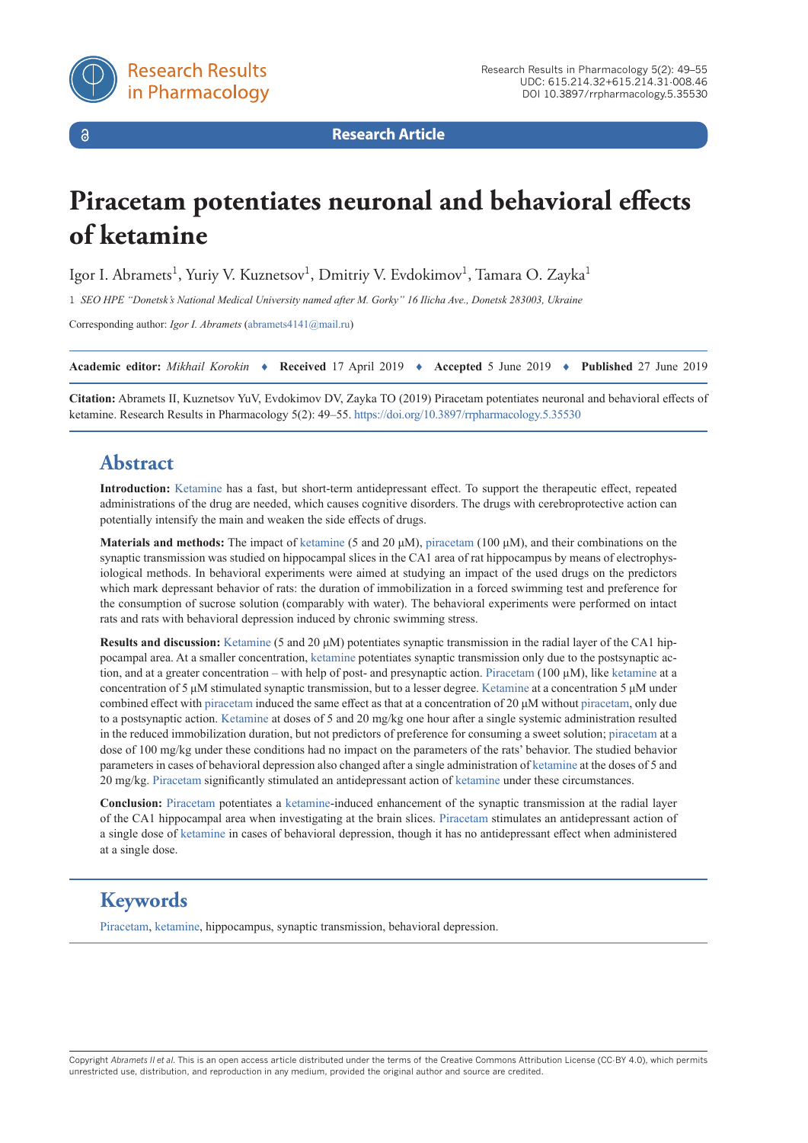

 $\delta$ 

**Research Article**

# **Piracetam potentiates neuronal and behavioral effects of ketamine**

Igor I. Abramets<sup>1</sup>, Yuriy V. Kuznetsov<sup>1</sup>, Dmitriy V. Evdokimov<sup>1</sup>, Tamara O. Zayka<sup>1</sup>

1 *SEO HPE "Donetsk's National Medical University named after M. Gorky" 16 Ilicha Ave., Donetsk 283003, Ukraine*

Corresponding author: *Igor I. Abramets* ([abramets4141@mail.ru\)](mailto:abramets4141@mail.ru)

**Academic editor:** *Mikhail Korokin* ♦ **Received** 17 April 2019 ♦ **Accepted** 5 June 2019 ♦ **Published** 27 June 2019

**Citation:** Abramets II, Kuznetsov YuV, Evdokimov DV, Zayka TO (2019) Piracetam potentiates neuronal and behavioral effects of ketamine. Research Results in Pharmacology 5(2): 49–55.<https://doi.org/10.3897/rrpharmacology.5.35530>

# **Abstract**

**Introduction:** [Ketamine](https://pubchem.ncbi.nlm.nih.gov/compound/ketamine) has a fast, but short-term antidepressant effect. To support the therapeutic effect, repeated administrations of the drug are needed, which causes cognitive disorders. The drugs with cerebroprotective action can potentially intensify the main and weaken the side effects of drugs.

**Materials and methods:** The impact of [ketamine](https://pubchem.ncbi.nlm.nih.gov/compound/ketamine) (5 and 20 μM), [piracetam](https://pubchem.ncbi.nlm.nih.gov/compound/piracetam) (100 μM), and their combinations on the synaptic transmission was studied on hippocampal slices in the CA1 area of rat hippocampus by means of electrophysiological methods. In behavioral experiments were aimed at studying an impact of the used drugs on the predictors which mark depressant behavior of rats: the duration of immobilization in a forced swimming test and preference for the consumption of sucrose solution (comparably with water). The behavioral experiments were performed on intact rats and rats with behavioral depression induced by chronic swimming stress.

**Results and discussion:** [Ketamine](https://pubchem.ncbi.nlm.nih.gov/compound/ketamine) (5 and 20 μM) potentiates synaptic transmission in the radial layer of the CA1 hippocampal area. At a smaller concentration, [ketamine](https://pubchem.ncbi.nlm.nih.gov/compound/ketamine) potentiates synaptic transmission only due to the postsynaptic action, and at a greater concentration – with help of post- and presynaptic action. [Piracetam](https://pubchem.ncbi.nlm.nih.gov/compound/piracetam) (100 µM), like [ketamine](https://pubchem.ncbi.nlm.nih.gov/compound/ketamine) at a concentration of 5 μM stimulated synaptic transmission, but to a lesser degree. [Ketamine](https://pubchem.ncbi.nlm.nih.gov/compound/ketamine) at a concentration 5 μM under combined effect with [piracetam](https://pubchem.ncbi.nlm.nih.gov/compound/piracetam) induced the same effect as that at a concentration of 20 μM without [piracetam,](https://pubchem.ncbi.nlm.nih.gov/compound/piracetam) only due to a postsynaptic action. [Ketamine](https://pubchem.ncbi.nlm.nih.gov/compound/ketamine) at doses of 5 and 20 mg/kg one hour after a single systemic administration resulted in the reduced immobilization duration, but not predictors of preference for consuming a sweet solution; [piracetam](https://pubchem.ncbi.nlm.nih.gov/compound/piracetam) at a dose of 100 mg/kg under these conditions had no impact on the parameters of the rats' behavior. The studied behavior parameters in cases of behavioral depression also changed after a single administration of [ketamine](https://pubchem.ncbi.nlm.nih.gov/compound/ketamine) at the doses of 5 and 20 mg/kg. [Piracetam](https://pubchem.ncbi.nlm.nih.gov/compound/piracetam) significantly stimulated an antidepressant action of [ketamine](https://pubchem.ncbi.nlm.nih.gov/compound/ketamine) under these circumstances.

**Conclusion:** [Piracetam](https://pubchem.ncbi.nlm.nih.gov/compound/piracetam) potentiates a [ketamine](https://pubchem.ncbi.nlm.nih.gov/compound/ketamine)-induced enhancement of the synaptic transmission at the radial layer of the CA1 hippocampal area when investigating at the brain slices. [Piracetam](https://pubchem.ncbi.nlm.nih.gov/compound/piracetam) stimulates an antidepressant action of a single dose of [ketamine](https://pubchem.ncbi.nlm.nih.gov/compound/ketamine) in cases of behavioral depression, though it has no antidepressant effect when administered at a single dose.

# **Keywords**

[Piracetam,](https://pubchem.ncbi.nlm.nih.gov/compound/piracetam) [ketamine](https://pubchem.ncbi.nlm.nih.gov/compound/ketamine), hippocampus, synaptic transmission, behavioral depression.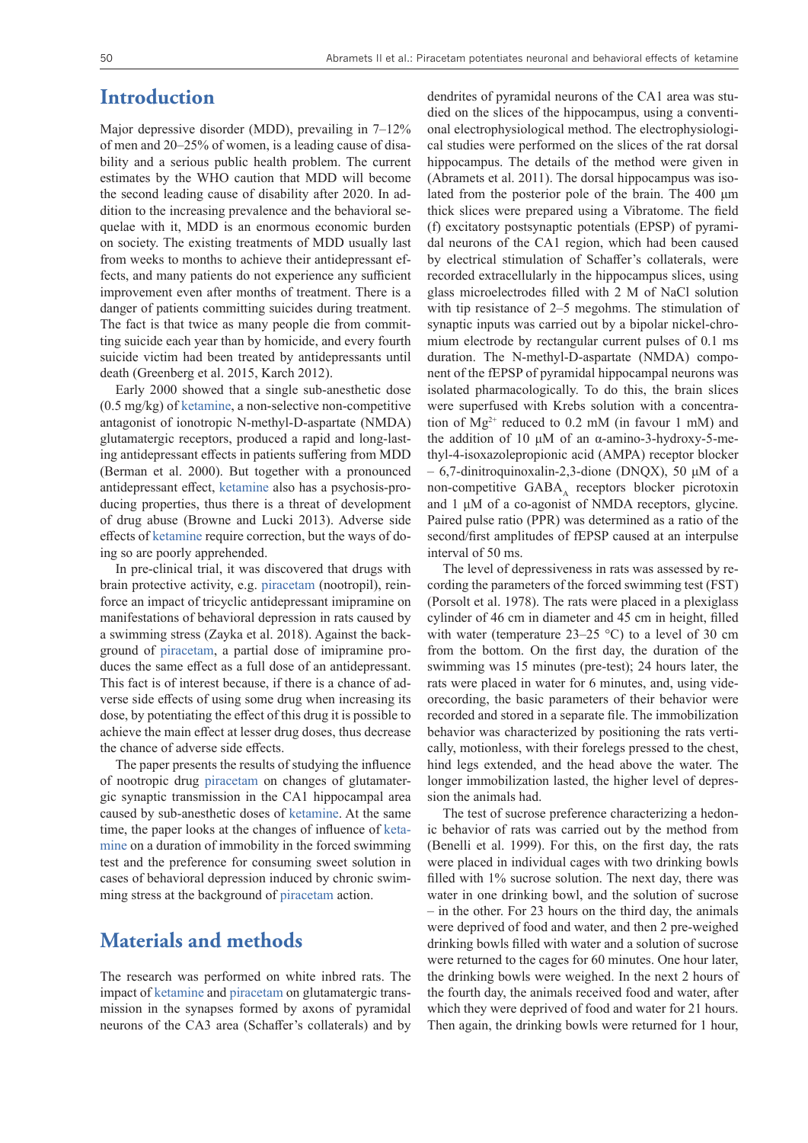#### **Introduction**

Major depressive disorder (MDD), prevailing in 7–12% of men and 20–25% of women, is a leading cause of disability and a serious public health problem. The current estimates by the WHO caution that MDD will become the second leading cause of disability after 2020. In addition to the increasing prevalence and the behavioral sequelae with it, MDD is an enormous economic burden on society. The existing treatments of MDD usually last from weeks to months to achieve their antidepressant effects, and many patients do not experience any sufficient improvement even after months of treatment. There is a danger of patients committing suicides during treatment. The fact is that twice as many people die from committing suicide each year than by homicide, and every fourth suicide victim had been treated by antidepressants until death (Greenberg et al. 2015, Karch 2012).

Early 2000 showed that a single sub-anesthetic dose (0.5 mg/kg) of [ketamine](https://pubchem.ncbi.nlm.nih.gov/compound/ketamine), a non-selective non-competitive antagonist of ionotropic N-methyl-D-aspartate (NMDA) glutamatergic receptors, produced a rapid and long-lasting antidepressant effects in patients suffering from MDD (Berman et al. 2000). But together with a pronounced antidepressant effect, [ketamine](https://pubchem.ncbi.nlm.nih.gov/compound/ketamine) also has a psychosis-producing properties, thus there is a threat of development of drug abuse (Browne and Lucki 2013). Adverse side effects of [ketamine](https://pubchem.ncbi.nlm.nih.gov/compound/ketamine) require correction, but the ways of doing so are poorly apprehended.

In pre-clinical trial, it was discovered that drugs with brain protective activity, e.g. [piracetam](https://pubchem.ncbi.nlm.nih.gov/compound/piracetam) (nootropil), reinforce an impact of tricyclic antidepressant imipramine on manifestations of behavioral depression in rats caused by a swimming stress (Zayka et al. 2018). Against the background of [piracetam](https://pubchem.ncbi.nlm.nih.gov/compound/piracetam), a partial dose of imipramine produces the same effect as a full dose of an antidepressant. This fact is of interest because, if there is a chance of adverse side effects of using some drug when increasing its dose, by potentiating the effect of this drug it is possible to achieve the main effect at lesser drug doses, thus decrease the chance of adverse side effects.

The paper presents the results of studying the influence of nootropic drug [piracetam](https://pubchem.ncbi.nlm.nih.gov/compound/piracetam) on changes of glutamatergic synaptic transmission in the CA1 hippocampal area caused by sub-anesthetic doses of [ketamine.](https://pubchem.ncbi.nlm.nih.gov/compound/ketamine) At the same time, the paper looks at the changes of influence of [keta](https://pubchem.ncbi.nlm.nih.gov/compound/ketamine)[mine](https://pubchem.ncbi.nlm.nih.gov/compound/ketamine) on a duration of immobility in the forced swimming test and the preference for consuming sweet solution in cases of behavioral depression induced by chronic swimming stress at the background of [piracetam](https://pubchem.ncbi.nlm.nih.gov/compound/piracetam) action.

#### **Materials and methods**

The research was performed on white inbred rats. The impact of [ketamine](https://pubchem.ncbi.nlm.nih.gov/compound/ketamine) and [piracetam](https://pubchem.ncbi.nlm.nih.gov/compound/piracetam) on glutamatergic transmission in the synapses formed by axons of pyramidal neurons of the CA3 area (Schaffer's collaterals) and by dendrites of pyramidal neurons of the CA1 area was studied on the slices of the hippocampus, using a conventional electrophysiological method. The electrophysiological studies were performed on the slices of the rat dorsal hippocampus. The details of the method were given in (Abramets et al. 2011). The dorsal hippocampus was isolated from the posterior pole of the brain. The 400 μm thick slices were prepared using a Vibratome. The field (f) excitatory postsynaptic potentials (EPSP) of pyramidal neurons of the CA1 region, which had been caused by electrical stimulation of Schaffer's collaterals, were recorded extracellularly in the hippocampus slices, using glass microelectrodes filled with 2 M of NaCl solution with tip resistance of 2–5 megohms. The stimulation of synaptic inputs was carried out by a bipolar nickel-chromium electrode by rectangular current pulses of 0.1 ms duration. The N-methyl-D-aspartate (NMDA) component of the fEPSP of pyramidal hippocampal neurons was isolated pharmacologically. To do this, the brain slices were superfused with Krebs solution with a concentration of  $Mg^{2+}$  reduced to 0.2 mM (in favour 1 mM) and the addition of 10 μM of an α-amino-3-hydroxy-5-methyl-4-isoxazolepropionic acid (AMPA) receptor blocker  $-6,7$ -dinitroquinoxalin-2,3-dione (DNQX), 50 μM of a non-competitive GABA, receptors blocker picrotoxin and 1 μM of a co-agonist of NMDA receptors, glycine. Paired pulse ratio (PPR) was determined as a ratio of the second/first amplitudes of fEPSP caused at an interpulse interval of 50 ms.

The level of depressiveness in rats was assessed by recording the parameters of the forced swimming test (FST) (Porsolt et al. 1978). The rats were placed in a plexiglass cylinder of 46 cm in diameter and 45 cm in height, filled with water (temperature  $23-25$  °C) to a level of 30 cm from the bottom. On the first day, the duration of the swimming was 15 minutes (pre-test); 24 hours later, the rats were placed in water for 6 minutes, and, using videorecording, the basic parameters of their behavior were recorded and stored in a separate file. The immobilization behavior was characterized by positioning the rats vertically, motionless, with their forelegs pressed to the chest, hind legs extended, and the head above the water. The longer immobilization lasted, the higher level of depression the animals had.

The test of sucrose preference characterizing a hedonic behavior of rats was carried out by the method from (Benelli et al. 1999). For this, on the first day, the rats were placed in individual cages with two drinking bowls filled with 1% sucrose solution. The next day, there was water in one drinking bowl, and the solution of sucrose – in the other. For 23 hours on the third day, the animals were deprived of food and water, and then 2 pre-weighed drinking bowls filled with water and a solution of sucrose were returned to the cages for 60 minutes. One hour later, the drinking bowls were weighed. In the next 2 hours of the fourth day, the animals received food and water, after which they were deprived of food and water for 21 hours. Then again, the drinking bowls were returned for 1 hour,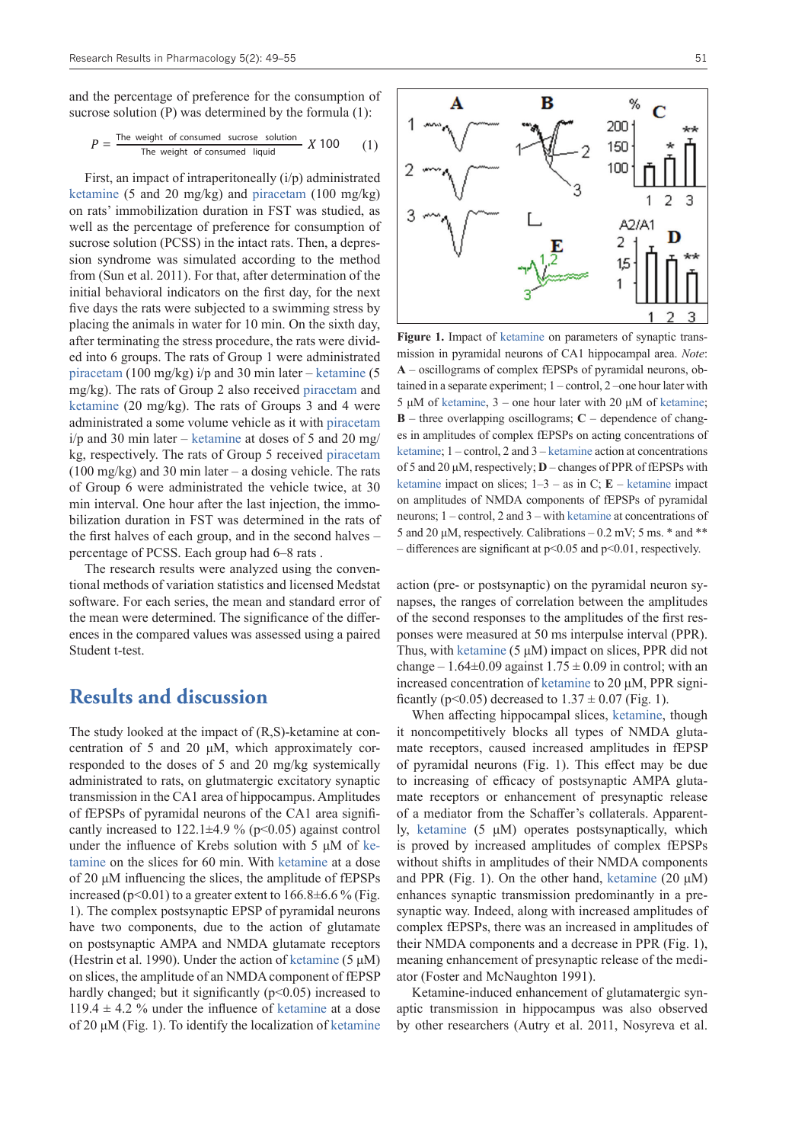and the percentage of preference for the consumption of sucrose solution (P) was determined by the formula (1):

$$
P = \frac{\text{The weight of consumed sucrose solution}}{\text{The weight of consumed liquid}} \, X \, 100 \qquad (1)
$$

First, an impact of intraperitoneally  $(i/p)$  administrated [ketamine](https://pubchem.ncbi.nlm.nih.gov/compound/ketamine) (5 and 20 mg/kg) and [piracetam](https://pubchem.ncbi.nlm.nih.gov/compound/piracetam) (100 mg/kg) on rats' immobilization duration in FST was studied, as well as the percentage of preference for consumption of sucrose solution (PCSS) in the intact rats. Then, a depression syndrome was simulated according to the method from (Sun et al. 2011). For that, after determination of the initial behavioral indicators on the first day, for the next five days the rats were subjected to a swimming stress by placing the animals in water for 10 min. On the sixth day, after terminating the stress procedure, the rats were divided into 6 groups. The rats of Group 1 were administrated [piracetam](https://pubchem.ncbi.nlm.nih.gov/compound/piracetam) (100 mg/kg) i/p and 30 min later – [ketamine](https://pubchem.ncbi.nlm.nih.gov/compound/ketamine) (5 mg/kg). The rats of Group 2 also received [piracetam](https://pubchem.ncbi.nlm.nih.gov/compound/piracetam) and [ketamine](https://pubchem.ncbi.nlm.nih.gov/compound/ketamine) (20 mg/kg). The rats of Groups 3 and 4 were administrated a some volume vehicle as it with piracetam  $i/p$  and 30 min later – [ketamine](https://pubchem.ncbi.nlm.nih.gov/compound/ketamine) at doses of 5 and 20 mg/ kg, respectively. The rats of Group 5 received [piracetam](https://pubchem.ncbi.nlm.nih.gov/compound/piracetam)  $(100 \text{ mg/kg})$  and 30 min later – a dosing vehicle. The rats of Group 6 were administrated the vehicle twice, at 30 min interval. One hour after the last injection, the immobilization duration in FST was determined in the rats of the first halves of each group, and in the second halves – percentage of PCSS. Each group had 6–8 rats .

The research results were analyzed using the conventional methods of variation statistics and licensed Medstat software. For each series, the mean and standard error of the mean were determined. The significance of the differences in the compared values was assessed using a paired Student t-test.

#### **Results and discussion**

The study looked at the impact of (R,S)-ketamine at concentration of 5 and 20 μM, which approximately corresponded to the doses of 5 and 20 mg/kg systemically administrated to rats, on glutmatergic excitatory synaptic transmission in the CA1 area of hippocampus. Amplitudes of fEPSPs of pyramidal neurons of the CA1 area significantly increased to  $122.1\pm4.9\%$  (p<0.05) against control under the influence of Krebs solution with 5 μM of [ke](https://pubchem.ncbi.nlm.nih.gov/compound/ketamine)[tamine](https://pubchem.ncbi.nlm.nih.gov/compound/ketamine) on the slices for 60 min. With [ketamine](https://pubchem.ncbi.nlm.nih.gov/compound/ketamine) at a dose of 20 μM influencing the slices, the amplitude of fEPSPs increased ( $p<0.01$ ) to a greater extent to  $166.8\pm6.6\%$  (Fig. 1). The complex postsynaptic EPSP of pyramidal neurons have two components, due to the action of glutamate on postsynaptic AMPA and NMDA glutamate receptors (Hestrin et al. 1990). Under the action of [ketamine](https://pubchem.ncbi.nlm.nih.gov/compound/ketamine)  $(5 \mu M)$ on slices, the amplitude of an NMDA component of fEPSP hardly changed; but it significantly  $(p<0.05)$  increased to  $119.4 \pm 4.2$  % under the influence of [ketamine](https://pubchem.ncbi.nlm.nih.gov/compound/ketamine) at a dose of 20 μM (Fig. 1). To identify the localization of [ketamine](https://pubchem.ncbi.nlm.nih.gov/compound/ketamine)



**Figure 1.** Impact of ketamine on parameters of synaptic transmission in pyramidal neurons of CA1 hippocampal area. *Note*: **A** – oscillograms of complex fEPSPs of pyramidal neurons, obtained in a separate experiment; 1 – control, 2 –one hour later with 5 μM of ketamine, 3 – one hour later with 20 μM of ketamine; **B** – three overlapping oscillograms; **C** – dependence of changes in amplitudes of complex fEPSPs on acting concentrations of ketamine; 1 – control, 2 and 3 – ketamine action at concentrations of 5 and 20 μM, respectively; **D** – changes of PPR of fEPSPs with ketamine impact on slices;  $1-3$  – as in C; **E** – ketamine impact on amplitudes of NMDA components of fEPSPs of pyramidal neurons; 1 – control, 2 and 3 – with ketamine at concentrations of 5 and 20  $\mu$ M, respectively. Calibrations – 0.2 mV; 5 ms.  $*$  and  $**$ – differences are significant at p<0.05 and p<0.01, respectively.

action (pre- or postsynaptic) on the pyramidal neuron synapses, the ranges of correlation between the amplitudes of the second responses to the amplitudes of the first responses were measured at 50 ms interpulse interval (PPR). Thus, with ketamine (5 μM) impact on slices, PPR did not change – 1.64 $\pm$ 0.09 against 1.75  $\pm$  0.09 in control; with an increased concentration of [ketamine](https://pubchem.ncbi.nlm.nih.gov/compound/ketamine) to 20 μM, PPR significantly ( $p$ <0.05) decreased to  $1.37 \pm 0.07$  (Fig. 1).

When affecting hippocampal slices, [ketamine](https://pubchem.ncbi.nlm.nih.gov/compound/ketamine), though it noncompetitively blocks all types of NMDA glutamate receptors, caused increased amplitudes in fEPSP of pyramidal neurons (Fig. 1). This effect may be due to increasing of efficacy of postsynaptic AMPA glutamate receptors or enhancement of presynaptic release of a mediator from the Schaffer's collaterals. Apparently, [ketamine](https://pubchem.ncbi.nlm.nih.gov/compound/ketamine) (5 μM) operates postsynaptically, which is proved by increased amplitudes of complex fEPSPs without shifts in amplitudes of their NMDA components and PPR (Fig. 1). On the other hand, [ketamine](https://pubchem.ncbi.nlm.nih.gov/compound/ketamine)  $(20 \mu M)$ enhances synaptic transmission predominantly in a presynaptic way. Indeed, along with increased amplitudes of complex fEPSPs, there was an increased in amplitudes of their NMDA components and a decrease in PPR (Fig. 1), meaning enhancement of presynaptic release of the mediator (Foster and McNaughton 1991).

Ketamine-induced enhancement of glutamatergic synaptic transmission in hippocampus was also observed by other researchers (Autry et al. 2011, Nosyreva et al.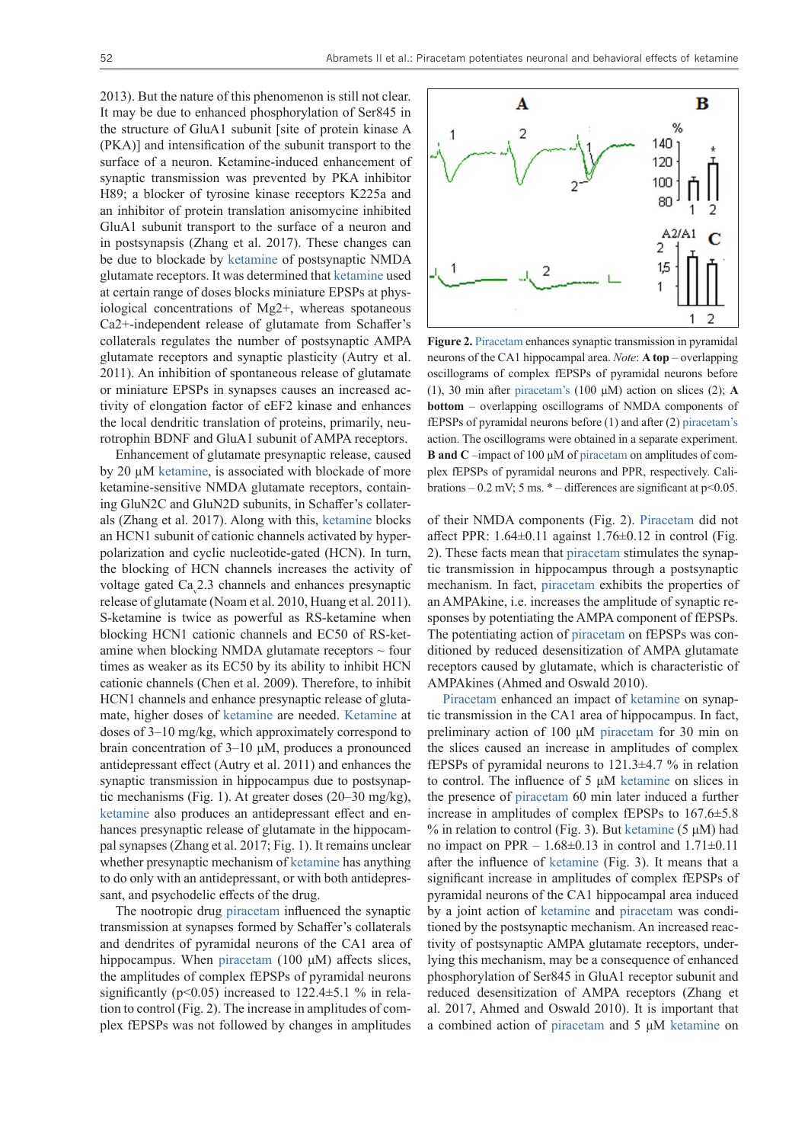2013). But the nature of this phenomenon is still not clear. It may be due to enhanced phosphorylation of Ser845 in the structure of GluA1 subunit [site of protein kinase A (PKA)] and intensification of the subunit transport to the surface of a neuron. Ketamine-induced enhancement of synaptic transmission was prevented by PKA inhibitor H89; a blocker of tyrosine kinase receptors K225a and an inhibitor of protein translation anisomycine inhibited GluA1 subunit transport to the surface of a neuron and in postsynapsis (Zhang et al. 2017). These changes can be due to blockade by [ketamine](https://pubchem.ncbi.nlm.nih.gov/compound/ketamine) of postsynaptic NMDA glutamate receptors. It was determined that [ketamine](https://pubchem.ncbi.nlm.nih.gov/compound/ketamine) used at certain range of doses blocks miniature EPSPs at physiological concentrations of Mg2+, whereas spotaneous Ca2+-independent release of glutamate from Schaffer's collaterals regulates the number of postsynaptic AMPA glutamate receptors and synaptic plasticity (Autry et al. 2011). An inhibition of spontaneous release of glutamate or miniature EPSPs in synapses causes an increased activity of elongation factor of eEF2 kinase and enhances the local dendritic translation of proteins, primarily, neurotrophin BDNF and GluA1 subunit of AMPA receptors.

Enhancement of glutamate presynaptic release, caused by 20 µM [ketamine](https://pubchem.ncbi.nlm.nih.gov/compound/ketamine), is associated with blockade of more ketamine-sensitive NMDA glutamate receptors, containing GluN2C and GluN2D subunits, in Schaffer's collaterals (Zhang et al. 2017). Along with this, [ketamine](https://pubchem.ncbi.nlm.nih.gov/compound/ketamine) blocks an HCN1 subunit of cationic channels activated by hyperpolarization and cyclic nucleotide-gated (HCN). In turn, the blocking of HCN channels increases the activity of voltage gated Ca<sub>v</sub>2.3 channels and enhances presynaptic release of glutamate (Noam et al. 2010, Huang et al. 2011). S-ketamine is twice as powerful as RS-ketamine when blocking HCN1 cationic channels and EC50 of RS-ketamine when blocking NMDA glutamate receptors  $\sim$  four times as weaker as its EC50 by its ability to inhibit HCN cationic channels (Chen et al. 2009). Therefore, to inhibit HCN1 channels and enhance presynaptic release of glutamate, higher doses of [ketamine](https://pubchem.ncbi.nlm.nih.gov/compound/ketamine) are needed. Ketamine at doses of 3–10 mg/kg, which approximately correspond to brain concentration of 3–10 μМ, produces a pronounced antidepressant effect (Autry et al. 2011) and enhances the synaptic transmission in hippocampus due to postsynaptic mechanisms (Fig. 1). At greater doses (20–30 mg/kg), [ketamine](https://pubchem.ncbi.nlm.nih.gov/compound/ketamine) also produces an antidepressant effect and enhances presynaptic release of glutamate in the hippocampal synapses (Zhang et al. 2017; Fig. 1). It remains unclear whether presynaptic mechanism of [ketamine](https://pubchem.ncbi.nlm.nih.gov/compound/ketamine) has anything to do only with an antidepressant, or with both antidepressant, and psychodelic effects of the drug.

The nootropic drug [piracetam](https://pubchem.ncbi.nlm.nih.gov/compound/piracetam) influenced the synaptic transmission at synapses formed by Schaffer's collaterals and dendrites of pyramidal neurons of the CA1 area of hippocampus. When [piracetam](https://pubchem.ncbi.nlm.nih.gov/compound/piracetam) (100 μM) affects slices, the amplitudes of complex fEPSPs of pyramidal neurons significantly ( $p<0.05$ ) increased to 122.4 $\pm$ 5.1 % in relation to control (Fig. 2). The increase in amplitudes of complex fEPSPs was not followed by changes in amplitudes



**Figure 2.** [Piracetam](https://pubchem.ncbi.nlm.nih.gov/compound/piracetam) enhances synaptic transmission in pyramidal neurons of the CA1 hippocampal area. *Note*: **A top** – overlapping oscillograms of complex fEPSPs of pyramidal neurons before (1), 30 min after [piracetam](https://pubchem.ncbi.nlm.nih.gov/compound/piracetam)'s (100 μM) action on slices (2); **A bottom** – overlapping oscillograms of NMDA components of fEPSPs of pyramidal neurons before (1) and after (2) [piracetam](https://pubchem.ncbi.nlm.nih.gov/compound/piracetam)'s action. The oscillograms were obtained in a separate experiment. **B and C** –impact of 100 μM of [piracetam](https://pubchem.ncbi.nlm.nih.gov/compound/piracetam) on amplitudes of complex fEPSPs of pyramidal neurons and PPR, respectively. Calibrations – 0.2 mV; 5 ms.  $*$  – differences are significant at p<0.05.

of their NMDA components (Fig. 2). [Piracetam](https://pubchem.ncbi.nlm.nih.gov/compound/piracetam) did not affect PPR:  $1.64 \pm 0.11$  against  $1.76 \pm 0.12$  in control (Fig. 2). These facts mean that [piracetam](https://pubchem.ncbi.nlm.nih.gov/compound/piracetam) stimulates the synaptic transmission in hippocampus through a postsynaptic mechanism. In fact, [piracetam](https://pubchem.ncbi.nlm.nih.gov/compound/piracetam) exhibits the properties of an AMPAkine, i.e. increases the amplitude of synaptic responses by potentiating the AMPA component of fEPSPs. The potentiating action of [piracetam](https://pubchem.ncbi.nlm.nih.gov/compound/piracetam) on fEPSPs was conditioned by reduced desensitization of AMPA glutamate receptors caused by glutamate, which is characteristic of AMPAkines (Ahmed and Oswald 2010).

[Piracetam](https://pubchem.ncbi.nlm.nih.gov/compound/piracetam) enhanced an impact of [ketamine](https://pubchem.ncbi.nlm.nih.gov/compound/ketamine) on synaptic transmission in the CA1 area of hippocampus. In fact, preliminary action of 100 μM [piracetam](https://pubchem.ncbi.nlm.nih.gov/compound/piracetam) for 30 min on the slices caused an increase in amplitudes of complex fEPSPs of pyramidal neurons to 121.3±4.7 % in relation to control. The influence of 5 μM [ketamine](https://pubchem.ncbi.nlm.nih.gov/compound/ketamine) on slices in the presence of [piracetam](https://pubchem.ncbi.nlm.nih.gov/compound/piracetam) 60 min later induced a further increase in amplitudes of complex fEPSPs to 167.6±5.8 % in relation to control (Fig. 3). But [ketamine](https://pubchem.ncbi.nlm.nih.gov/compound/ketamine)  $(5 \mu M)$  had no impact on PPR –  $1.68 \pm 0.13$  in control and  $1.71 \pm 0.11$ after the influence of [ketamine](https://pubchem.ncbi.nlm.nih.gov/compound/ketamine) (Fig. 3). It means that a significant increase in amplitudes of complex fEPSPs of pyramidal neurons of the CA1 hippocampal area induced by a joint action of [ketamine](https://pubchem.ncbi.nlm.nih.gov/compound/ketamine) and [piracetam](https://pubchem.ncbi.nlm.nih.gov/compound/piracetam) was conditioned by the postsynaptic mechanism. An increased reactivity of postsynaptic AMPA glutamate receptors, underlying this mechanism, may be a consequence of enhanced phosphorylation of Ser845 in GluA1 receptor subunit and reduced desensitization of AMPA receptors (Zhang et al. 2017, Ahmed and Oswald 2010). It is important that a combined action of [piracetam](https://pubchem.ncbi.nlm.nih.gov/compound/piracetam) and 5 μM [ketamine](https://pubchem.ncbi.nlm.nih.gov/compound/ketamine) on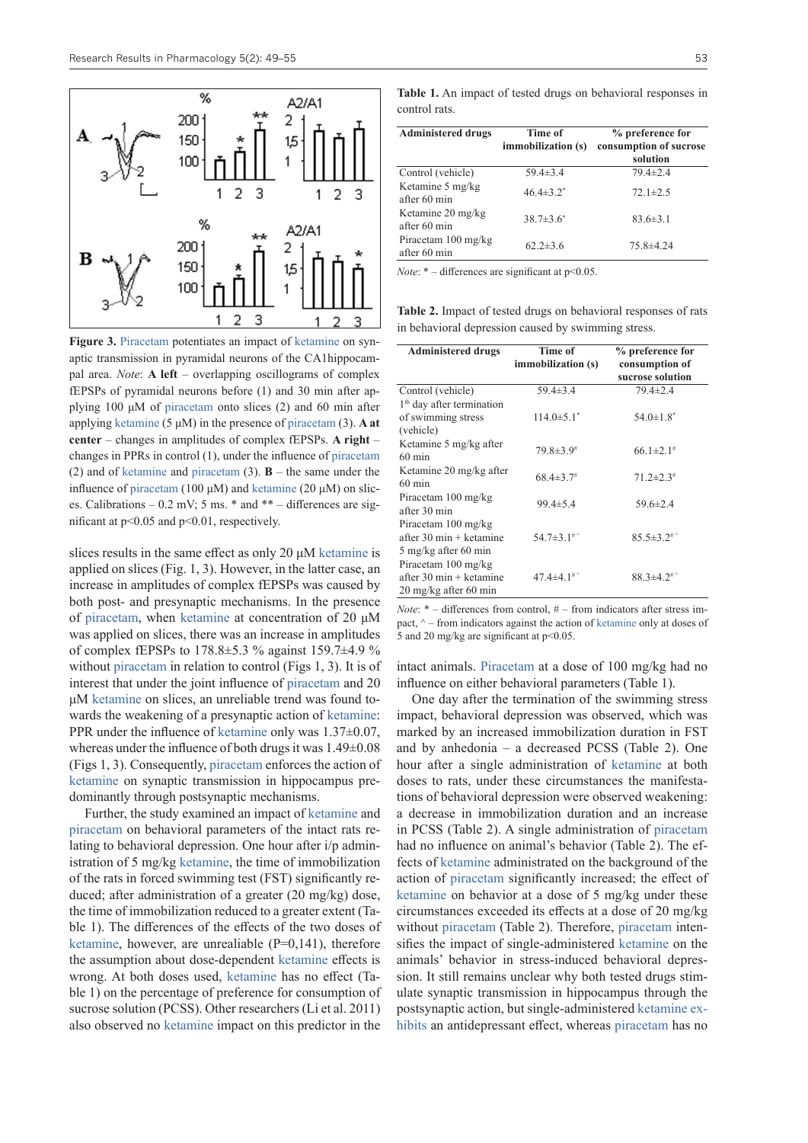

**Figure 3.** [Piracetam](https://pubchem.ncbi.nlm.nih.gov/compound/piracetam) potentiates an impact of ketamine on synaptic transmission in pyramidal neurons of the CA1hippocampal area. *Note*: **A left** – overlapping oscillograms of complex fEPSPs of pyramidal neurons before (1) and 30 min after applying 100 μM of [piracetam](https://pubchem.ncbi.nlm.nih.gov/compound/piracetam) onto slices (2) and 60 min after applying [ketamine](https://pubchem.ncbi.nlm.nih.gov/compound/ketamine) (5 μM) in the presence of [piracetam](https://pubchem.ncbi.nlm.nih.gov/compound/piracetam) (3). **A at center** – changes in amplitudes of complex fEPSPs. **A right** – changes in PPRs in control (1), under the influence of [piracetam](https://pubchem.ncbi.nlm.nih.gov/compound/piracetam) (2) and of [ketamine](https://pubchem.ncbi.nlm.nih.gov/compound/ketamine) and [piracetam](https://pubchem.ncbi.nlm.nih.gov/compound/piracetam) (3). **B** – the same under the influence of [piracetam](https://pubchem.ncbi.nlm.nih.gov/compound/piracetam) (100 μM) and [ketamine](https://pubchem.ncbi.nlm.nih.gov/compound/ketamine) (20 μM) on slices. Calibrations – 0.2 mV; 5 ms. \* and \*\* – differences are significant at p<0.05 and p<0.01, respectively.

slices results in the same effect as only 20 μM [ketamine](https://pubchem.ncbi.nlm.nih.gov/compound/ketamine) is applied on slices (Fig. 1, 3). However, in the latter case, an increase in amplitudes of complex fEPSPs was caused by both post- and presynaptic mechanisms. In the presence of [piracetam](https://pubchem.ncbi.nlm.nih.gov/compound/piracetam), when [ketamine](https://pubchem.ncbi.nlm.nih.gov/compound/ketamine) at concentration of 20 μM was applied on slices, there was an increase in amplitudes of complex fEPSPs to  $178.8 \pm 5.3$  % against  $159.7 \pm 4.9$  % without [piracetam](https://pubchem.ncbi.nlm.nih.gov/compound/piracetam) in relation to control (Figs 1, 3). It is of interest that under the joint influence of [piracetam](https://pubchem.ncbi.nlm.nih.gov/compound/piracetam) and 20 μM [ketamine](https://pubchem.ncbi.nlm.nih.gov/compound/ketamine) on slices, an unreliable trend was found towards the weakening of a presynaptic action of [ketamine:](https://pubchem.ncbi.nlm.nih.gov/compound/ketamine) PPR under the influence of [ketamine](https://pubchem.ncbi.nlm.nih.gov/compound/ketamine) only was 1.37±0.07, whereas under the influence of both drugs it was 1.49±0.08 (Figs 1, 3). Consequently, [piracetam](https://pubchem.ncbi.nlm.nih.gov/compound/piracetam) enforces the action of [ketamine](https://pubchem.ncbi.nlm.nih.gov/compound/ketamine) on synaptic transmission in hippocampus predominantly through postsynaptic mechanisms.

Further, the study examined an impact of [ketamine](https://pubchem.ncbi.nlm.nih.gov/compound/ketamine) and [piracetam](https://pubchem.ncbi.nlm.nih.gov/compound/piracetam) on behavioral parameters of the intact rats relating to behavioral depression. One hour after i/p administration of 5 mg/kg [ketamine](https://pubchem.ncbi.nlm.nih.gov/compound/ketamine), the time of immobilization of the rats in forced swimming test (FST) significantly reduced; after administration of a greater (20 mg/kg) dose, the time of immobilization reduced to a greater extent (Table 1). The differences of the effects of the two doses of [ketamine](https://pubchem.ncbi.nlm.nih.gov/compound/ketamine), however, are unrealiable  $(P=0,141)$ , therefore the assumption about dose-dependent [ketamine](https://pubchem.ncbi.nlm.nih.gov/compound/ketamine) effects is wrong. At both doses used, [ketamine](https://pubchem.ncbi.nlm.nih.gov/compound/ketamine) has no effect (Table 1) on the percentage of preference for consumption of sucrose solution (PCSS). Other researchers (Li et al. 2011) also observed no [ketamine](https://pubchem.ncbi.nlm.nih.gov/compound/ketamine) impact on this predictor in the

**Table 1.** An impact of tested drugs on behavioral responses in control rats.

| <b>Administered drugs</b>                     | Time of<br>immobilization (s) | % preference for<br>consumption of sucrose<br>solution |
|-----------------------------------------------|-------------------------------|--------------------------------------------------------|
| Control (vehicle)                             | $59.4 \pm 3.4$                | $79.4 \pm 2.4$                                         |
| Ketamine 5 mg/kg<br>after 60 min              | $46.4 \pm 3.2^*$              | $72.1 \pm 2.5$                                         |
| Ketamine 20 mg/kg<br>after 60 min             | $38.7 \pm 3.6^*$              | $83.6 \pm 3.1$                                         |
| Piracetam $100 \text{ mg/kg}$<br>after 60 min | $62.2 \pm 3.6$                | $75.8 \pm 4.24$                                        |

*Note*: \* – differences are significant at p<0.05.

**Table 2.** Impact of tested drugs on behavioral responses of rats in behavioral depression caused by swimming stress.

| <b>Administered drugs</b>             | Time of                      | % preference for             |
|---------------------------------------|------------------------------|------------------------------|
|                                       | immobilization (s)           | consumption of               |
|                                       |                              | sucrose solution             |
| Control (vehicle)                     | $59.4 \pm 3.4$               | $79.4 \pm 2.4$               |
| 1 <sup>th</sup> day after termination |                              |                              |
| of swimming stress                    | $114.0 \pm 5.1$ <sup>*</sup> | $54.0 \pm 1.8$ <sup>*</sup>  |
| (vehicle)                             |                              |                              |
| Ketamine 5 mg/kg after                | $79.8 \pm 3.9^{\#}$          | $66.1 \pm 2.1$ <sup>#</sup>  |
| $60 \text{ min}$                      |                              |                              |
| Ketamine 20 mg/kg after               | $68.4 \pm 3.7$               | $71.2 \pm 2.3$ <sup>#</sup>  |
| $60 \text{ min}$                      |                              |                              |
| Piracetam 100 mg/kg                   | $99.4 \pm 5.4$               | $59.6 \pm 2.4$               |
| after 30 min                          |                              |                              |
| Piracetam 100 mg/kg                   |                              |                              |
| after 30 min + ketamine               | $54.7 \pm 3.1$ #^            | $85.5 \pm 3.2$ <sup>#^</sup> |
| 5 mg/kg after 60 min                  |                              |                              |
| Piracetam 100 mg/kg                   |                              |                              |
| after 30 min + ketamine               | $47.4 \pm 4.1$ <sup>#^</sup> | $88.3 \pm 4.2$ <sup>#^</sup> |
| $20 \text{ mg/kg}$ after 60 min       |                              |                              |

*Note*: \* – differences from control, # – from indicators after stress impact,  $\wedge$  – from indicators against the action of [ketamine](https://pubchem.ncbi.nlm.nih.gov/compound/ketamine) only at doses of 5 and 20 mg/kg are significant at p<0.05.

intact animals. [Piracetam](https://pubchem.ncbi.nlm.nih.gov/compound/piracetam) at a dose of 100 mg/kg had no influence on either behavioral parameters (Table 1).

One day after the termination of the swimming stress impact, behavioral depression was observed, which was marked by an increased immobilization duration in FST and by anhedonia – a decreased PCSS (Table 2). One hour after a single administration of [ketamine](https://pubchem.ncbi.nlm.nih.gov/compound/ketamine) at both doses to rats, under these circumstances the manifestations of behavioral depression were observed weakening: a decrease in immobilization duration and an increase in PCSS (Table 2). A single administration of [piracetam](https://pubchem.ncbi.nlm.nih.gov/compound/piracetam) had no influence on animal's behavior (Table 2). The effects of [ketamine](https://pubchem.ncbi.nlm.nih.gov/compound/ketamine) administrated on the background of the action of [piracetam](https://pubchem.ncbi.nlm.nih.gov/compound/piracetam) significantly increased; the effect of [ketamine](https://pubchem.ncbi.nlm.nih.gov/compound/ketamine) on behavior at a dose of 5 mg/kg under these circumstances exceeded its effects at a dose of 20 mg/kg without [piracetam](https://pubchem.ncbi.nlm.nih.gov/compound/piracetam) (Table 2). Therefore, piracetam intensifies the impact of single-administered [ketamine](https://pubchem.ncbi.nlm.nih.gov/compound/ketamine) on the animals' behavior in stress-induced behavioral depression. It still remains unclear why both tested drugs stimulate synaptic transmission in hippocampus through the postsynaptic action, but single-administered [ketamine](https://pubchem.ncbi.nlm.nih.gov/compound/ketamine) [ex](https://pubchem.ncbi.nlm.nih.gov/compound/ketamine)[hibits](https://pubchem.ncbi.nlm.nih.gov/compound/ketamine) an antidepressant effect, whereas [piracetam](https://pubchem.ncbi.nlm.nih.gov/compound/piracetam) has no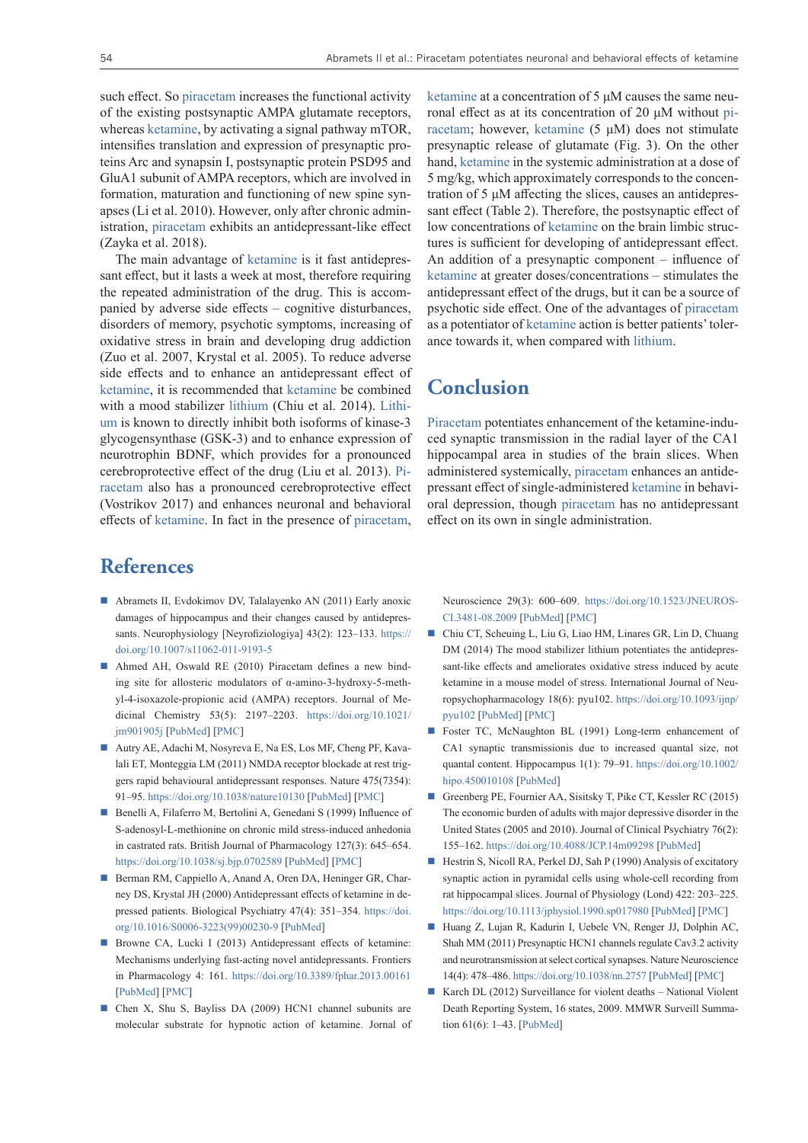such effect. So [piracetam](https://pubchem.ncbi.nlm.nih.gov/compound/piracetam) increases the functional activity of the existing postsynaptic AMPA glutamate receptors, whereas [ketamine](https://pubchem.ncbi.nlm.nih.gov/compound/ketamine), by activating a signal pathway mTOR, intensifies translation and expression of presynaptic proteins Arc and synapsin I, postsynaptic protein PSD95 and GluA1 subunit of AMPA receptors, which are involved in formation, maturation and functioning of new spine synapses (Li et al. 2010). However, only after chronic administration, [piracetam](https://pubchem.ncbi.nlm.nih.gov/compound/piracetam) exhibits an antidepressant-like effect (Zayka et al. 2018).

The main advantage of [ketamine](https://pubchem.ncbi.nlm.nih.gov/compound/ketamine) is it fast antidepressant effect, but it lasts a week at most, therefore requiring the repeated administration of the drug. This is accompanied by adverse side effects – cognitive disturbances, disorders of memory, psychotic symptoms, increasing of oxidative stress in brain and developing drug addiction (Zuo et al. 2007, Krystal et al. 2005). To reduce adverse side effects and to enhance an antidepressant effect of [ketamine](https://pubchem.ncbi.nlm.nih.gov/compound/ketamine), it is recommended that ketamine be combined with a mood stabilizer [lithium](https://pubchem.ncbi.nlm.nih.gov/compound/Lithium) (Chiu et al. 2014). [Lithi](https://pubchem.ncbi.nlm.nih.gov/compound/Lithium)[um](https://pubchem.ncbi.nlm.nih.gov/compound/Lithium) is known to directly inhibit both isoforms of kinase-3 glycogensynthase (GSK-3) and to enhance expression of neurotrophin BDNF, which provides for a pronounced cerebroprotective effect of the drug (Liu et al. 2013). [Pi](https://pubchem.ncbi.nlm.nih.gov/compound/piracetam)[racetam](https://pubchem.ncbi.nlm.nih.gov/compound/piracetam) also has a pronounced cerebroprotective effect (Vostrikov 2017) and enhances neuronal and behavioral effects of ketamine. In fact in the presence of [piracetam](https://pubchem.ncbi.nlm.nih.gov/compound/piracetam),

### **References**

- Abramets II, Evdokimov DV, Talalayenko AN (2011) Early anoxic damages of hippocampus and their changes caused by antidepressants. Neurophysiology [Neyrofiziologiya] 43(2): 123-133. [https://](https://doi.org/10.1007/s11062-011-9193-5) [doi.org/10.1007/s11062-011-9193-5](https://doi.org/10.1007/s11062-011-9193-5)
- Ahmed AH, Oswald RE (2010) Piracetam defines a new binding site for allosteric modulators of α-amino-3-hydroxy-5-methyl-4-isoxazole-propionic acid (AMPA) receptors. Journal of Medicinal Chemistry 53(5): 2197–2203. [https://doi.org/10.1021/](https://doi.org/10.1021/jm901905j) [jm901905j](https://doi.org/10.1021/jm901905j) [[PubMed](https://www.ncbi.nlm.nih.gov/pubmed/20163115)] [[PMC](https://www.ncbi.nlm.nih.gov/pmc/articles/PMC2872987/)]
- Autry AE, Adachi M, Nosyreva E, Na ES, Los MF, Cheng PF, Kavalali ET, Monteggia LM (2011) NMDA receptor blockade at rest triggers rapid behavioural antidepressant responses. Nature 475(7354): 91–95.<https://doi.org/10.1038/nature10130> [\[PubMed](https://www.ncbi.nlm.nih.gov/pubmed/21677641)] [[PMC](https://www.ncbi.nlm.nih.gov/pmc/articles/PMC3172695/)]
- Benelli A, Filaferro M, Bertolini A, Genedani S (1999) Influence of S-adenosyl-L-methionine on chronic mild stress-induced anhedonia in castrated rats. British Journal of Pharmacology 127(3): 645–654. <https://doi.org/10.1038/sj.bjp.0702589> [[PubMed\]](https://www.ncbi.nlm.nih.gov/pubmed/10401554) [\[PMC](https://www.ncbi.nlm.nih.gov/pmc/articles/PMC1566059/)]
- Berman RM, Cappiello A, Anand A, Oren DA, Heninger GR, Charney DS, Krystal JH (2000) Antidepressant effects of ketamine in depressed patients. Biological Psychiatry 47(4): 351–354. [https://doi.](https://doi.org/10.1016/S0006-3223(99)00230-9) [org/10.1016/S0006-3223\(99\)00230-9](https://doi.org/10.1016/S0006-3223(99)00230-9) [[PubMed](https://www.ncbi.nlm.nih.gov/pubmed/10686270)]
- Browne CA, Lucki I (2013) Antidepressant effects of ketamine: Mechanisms underlying fast-acting novel antidepressants. Frontiers in Pharmacology 4: 161. <https://doi.org/10.3389/fphar.2013.00161> [[PubMed\]](https://www.ncbi.nlm.nih.gov/pubmed/24409146) [\[PMC](https://www.ncbi.nlm.nih.gov/pmc/articles/PMC3873522/)]
- Chen X, Shu S, Bayliss DA (2009) HCN1 channel subunits are molecular substrate for hypnotic action of ketamine. Jornal of

[ketamine](https://pubchem.ncbi.nlm.nih.gov/compound/ketamine) at a concentration of 5 μM causes the same neuronal effect as at its concentration of 20 μM without [pi](https://pubchem.ncbi.nlm.nih.gov/compound/piracetam)[racetam](https://pubchem.ncbi.nlm.nih.gov/compound/piracetam); however, [ketamine](https://pubchem.ncbi.nlm.nih.gov/compound/ketamine) (5 μM) does not stimulate presynaptic release of glutamate (Fig. 3). On the other hand, [ketamine](https://pubchem.ncbi.nlm.nih.gov/compound/ketamine) in the systemic administration at a dose of 5 mg/kg, which approximately сorresponds to the concentration of 5 μM affecting the slices, causes an antidepressant effect (Table 2). Therefore, the postsynaptic effect of low concentrations of [ketamine](https://pubchem.ncbi.nlm.nih.gov/compound/ketamine) on the brain limbic structures is sufficient for developing of antidepressant effect. An addition of a presynaptic component – influence of [ketamine](https://pubchem.ncbi.nlm.nih.gov/compound/ketamine) at greater doses/concentrations – stimulates the antidepressant effect of the drugs, but it can be a source of psychotic side effect. One of the advantages of [piracetam](https://pubchem.ncbi.nlm.nih.gov/compound/piracetam) as a potentiator of [ketamine](https://pubchem.ncbi.nlm.nih.gov/compound/ketamine) action is better patients' tolerance towards it, when compared with [lithium.](https://pubchem.ncbi.nlm.nih.gov/compound/Lithium)

# **Conclusion**

[Piracetam](https://pubchem.ncbi.nlm.nih.gov/compound/piracetam) potentiates enhancement of the ketamine-induced synaptic transmission in the radial layer of the CA1 hippocampal area in studies of the brain slices. When administered systemically, [piracetam](https://pubchem.ncbi.nlm.nih.gov/compound/piracetam) enhances an antidepressant effect of single-administered [ketamine](https://pubchem.ncbi.nlm.nih.gov/compound/ketamine) in behavioral depression, though [piracetam](https://pubchem.ncbi.nlm.nih.gov/compound/piracetam) has no antidepressant effect on its own in single administration.

Neuroscience 29(3): 600–609. [https://doi.org/10.1523/JNEUROS-](https://doi.org/10.1523/JNEUROSCI.3481-08.2009)[CI.3481-08.2009](https://doi.org/10.1523/JNEUROSCI.3481-08.2009) [[PubMed\]](https://www.ncbi.nlm.nih.gov/pubmed/19158287) [\[PMC](https://www.ncbi.nlm.nih.gov/pmc/articles/PMC2744993/)]

- Chiu CT, Scheuing L, Liu G, Liao HM, Linares GR, Lin D, Chuang DM (2014) The mood stabilizer lithium potentiates the antidepressant-like effects and ameliorates oxidative stress induced by acute ketamine in a mouse model of stress. International Journal of Neuropsychopharmacology 18(6): pyu102. [https://doi.org/10.1093/ijnp/](https://doi.org/10.1093/ijnp/pyu102) [pyu102](https://doi.org/10.1093/ijnp/pyu102) [[PubMed](https://www.ncbi.nlm.nih.gov/pubmed/25548109)] [\[PMC](https://www.ncbi.nlm.nih.gov/pmc/articles/PMC4438544/)]
- Foster TC, McNaughton BL (1991) Long-term enhancement of CA1 synaptic transmissionis due to increased quantal size, not quantal content. Hippocampus 1(1): 79–91. [https://doi.org/10.1002/](https://doi.org/10.1002/hipo.450010108) [hipo.450010108](https://doi.org/10.1002/hipo.450010108) [\[PubMed](https://www.ncbi.nlm.nih.gov/pubmed/1669344)]
- Greenberg PE, Fournier AA, Sisitsky T, Pike CT, Kessler RC (2015) The economic burden of adults with major depressive disorder in the United States (2005 and 2010). Journal of Clinical Psychiatry 76(2): 155–162.<https://doi.org/10.4088/JCP.14m09298> [[PubMed](https://www.ncbi.nlm.nih.gov/pubmed/25742202)]
- Hestrin S, Nicoll RA, Perkel DJ, Sah P (1990) Analysis of excitatory synaptic action in pyramidal cells using whole-cell recording from rat hippocampal slices. Journal of Physiology (Lond) 422: 203–225. <https://doi.org/10.1113/jphysiol.1990.sp017980> [[PubMed\]](https://www.ncbi.nlm.nih.gov/pubmed/1972190) [\[PMC](https://www.ncbi.nlm.nih.gov/pmc/articles/PMC1190128/)]
- Huang Z, Lujan R, Kadurin I, Uebele VN, Renger JJ, Dolphin AC, Shah MM (2011) Presynaptic HCN1 channels regulate Cav3.2 activity and neurotransmission at select cortical synapses. Nature Neuroscience 14(4): 478–486.<https://doi.org/10.1038/nn.2757> [[PubMed](https://www.ncbi.nlm.nih.gov/pubmed/21358644)] [\[PMC](https://www.ncbi.nlm.nih.gov/pmc/articles/PMC3068302/)]
- Karch DL (2012) Surveillance for violent deaths National Violent Death Reporting System, 16 states, 2009. MMWR Surveill Summation 61(6): 1–43. [[PubMed](https://www.ncbi.nlm.nih.gov/pubmed/22971797)]